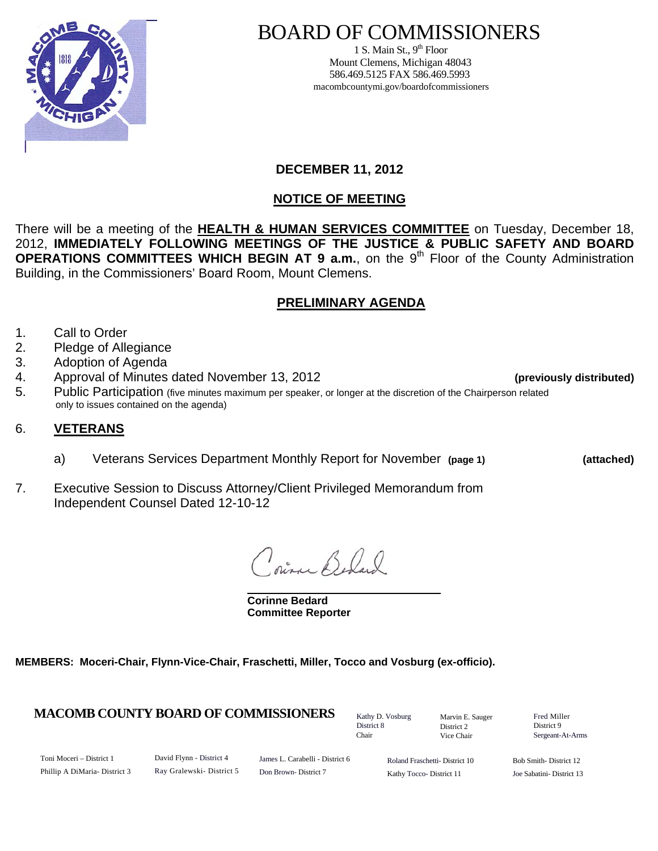

# BOARD OF COMMISSIONERS

1 S. Main St.,  $9<sup>th</sup>$  Floor Mount Clemens, Michigan 48043 586.469.5125 FAX 586.469.5993 macombcountymi.gov/boardofcommissioners

### **DECEMBER 11, 2012**

# **NOTICE OF MEETING**

There will be a meeting of the **HEALTH & HUMAN SERVICES COMMITTEE** on Tuesday, December 18, 2012, **IMMEDIATELY FOLLOWING MEETINGS OF THE JUSTICE & PUBLIC SAFETY AND BOARD OPERATIONS COMMITTEES WHICH BEGIN AT 9 a.m.**, on the 9<sup>th</sup> Floor of the County Administration Building, in the Commissioners' Board Room, Mount Clemens.

## **PRELIMINARY AGENDA**

- 1. Call to Order
- 2. Pledge of Allegiance
- 3. Adoption of Agenda
- 4. Approval of Minutes dated November 13, 2012 **(previously distributed)**
- 5. Public Participation (five minutes maximum per speaker, or longer at the discretion of the Chairperson related only to issues contained on the agenda)

#### 6. **VETERANS**

- a) Veterans Services Department Monthly Report for November **(page 1) (attached)**
- 7. Executive Session to Discuss Attorney/Client Privileged Memorandum from Independent Counsel Dated 12-10-12

pina Beland

 **Corinne Bedard Committee Reporter**

**MEMBERS: Moceri-Chair, Flynn-Vice-Chair, Fraschetti, Miller, Tocco and Vosburg (ex-officio).** 

#### **MACOMB COUNTY BOARD OF COMMISSIONERS** Factor D. Vosburg Marvin F. Sauger Fred Miller

Kathy D. Vosburg District 8 Chair

Marvin E. Sauger District 2 Vice Chair

District 9 Sergeant-At-Arms

Toni Moceri – District 1 Phillip A DiMaria- District 3 David Flynn - District 4 Ray Gralewski- District 5

James L. Carabelli - District 6 Don Brown- District 7

Roland Fraschetti- District 10 Kathy Tocco- District 11

Bob Smith- District 12 Joe Sabatini- District 13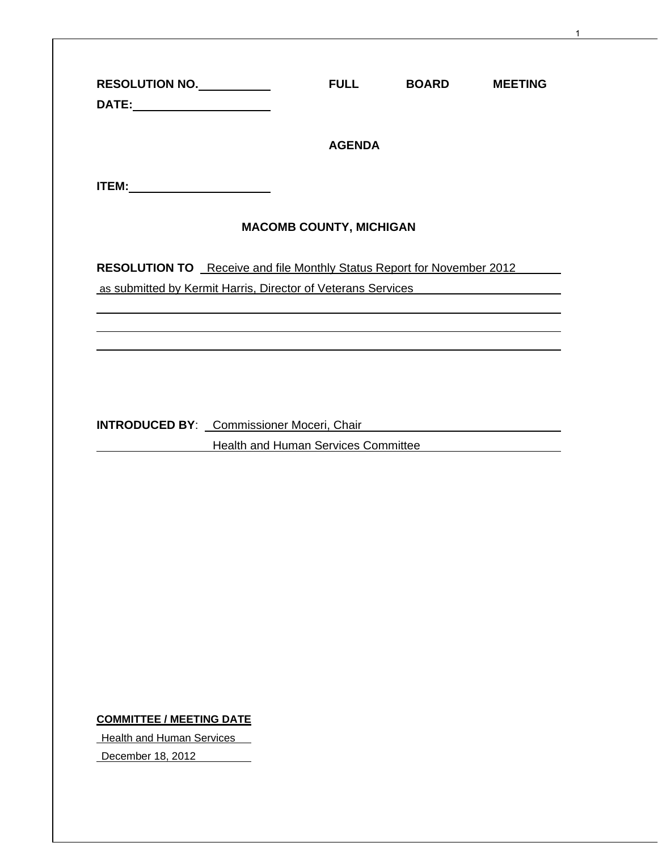| RESOLUTION NO.                                                                | <b>FULL</b>                    | <b>BOARD</b>                        | <b>MEETING</b> |
|-------------------------------------------------------------------------------|--------------------------------|-------------------------------------|----------------|
|                                                                               | <b>AGENDA</b>                  |                                     |                |
|                                                                               |                                |                                     |                |
|                                                                               | <b>MACOMB COUNTY, MICHIGAN</b> |                                     |                |
| <b>RESOLUTION TO</b> Receive and file Monthly Status Report for November 2012 |                                |                                     |                |
| as submitted by Kermit Harris, Director of Veterans Services                  |                                |                                     |                |
|                                                                               |                                |                                     |                |
|                                                                               |                                |                                     |                |
|                                                                               |                                |                                     |                |
|                                                                               |                                |                                     |                |
|                                                                               |                                |                                     |                |
|                                                                               |                                |                                     |                |
|                                                                               |                                |                                     |                |
|                                                                               |                                |                                     |                |
|                                                                               |                                |                                     |                |
|                                                                               |                                | Health and Human Services Committee |                |
|                                                                               |                                |                                     |                |
|                                                                               |                                |                                     |                |
|                                                                               |                                |                                     |                |
|                                                                               |                                |                                     |                |
|                                                                               |                                |                                     |                |
| <b>INTRODUCED BY:</b> Commissioner Moceri, Chair                              |                                |                                     |                |
|                                                                               |                                |                                     |                |
|                                                                               |                                |                                     |                |
|                                                                               |                                |                                     |                |
|                                                                               |                                |                                     |                |
|                                                                               |                                |                                     |                |
|                                                                               |                                |                                     |                |
|                                                                               |                                |                                     |                |
|                                                                               |                                |                                     |                |
|                                                                               |                                |                                     |                |
|                                                                               |                                |                                     |                |
| <b>COMMITTEE / MEETING DATE</b><br><b>Health and Human Services</b>           |                                |                                     |                |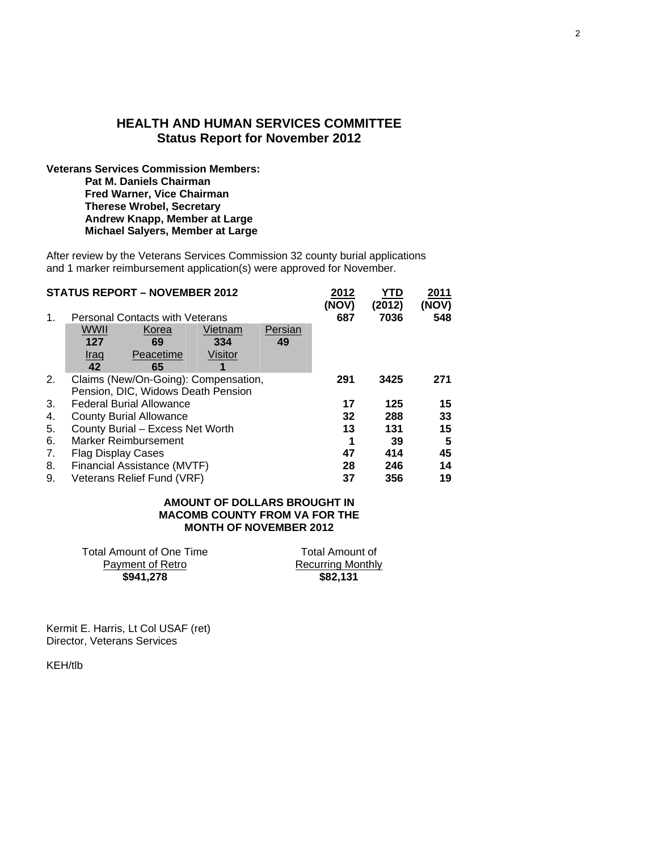#### **HEALTH AND HUMAN SERVICES COMMITTEE Status Report for November 2012**

**Veterans Services Commission Members: Pat M. Daniels Chairman Fred Warner, Vice Chairman Therese Wrobel, Secretary Andrew Knapp, Member at Large Michael Salyers, Member at Large** 

After review by the Veterans Services Commission 32 county burial applications and 1 marker reimbursement application(s) were approved for November.

|    |                                        | <b>STATUS REPORT - NOVEMBER 2012</b> |         |         | 2012<br>(NOV) | YTD<br>(2012) | 2011<br>(NOV) |
|----|----------------------------------------|--------------------------------------|---------|---------|---------------|---------------|---------------|
| 1. | <b>Personal Contacts with Veterans</b> |                                      |         |         | 687           | 7036          | 548           |
|    | WWII                                   | Korea                                | Vietnam | Persian |               |               |               |
|    | 127                                    | 69                                   | 334     | 49      |               |               |               |
|    | Iraq                                   | Peacetime                            | Visitor |         |               |               |               |
|    | 42                                     | 65                                   | 1       |         |               |               |               |
| 2. |                                        | Claims (New/On-Going): Compensation, |         |         | 291           | 3425          | 271           |
|    |                                        | Pension, DIC, Widows Death Pension   |         |         |               |               |               |
| 3. |                                        | <b>Federal Burial Allowance</b>      |         |         | 17            | 125           | 15            |
| 4. | <b>County Burial Allowance</b>         |                                      |         |         | 32            | 288           | 33            |
| 5. | County Burial - Excess Net Worth       |                                      |         |         | 13            | 131           | 15            |
| 6. | Marker Reimbursement                   |                                      |         |         | 1             | 39            | 5             |
| 7. | <b>Flag Display Cases</b>              |                                      |         |         | 47            | 414           | 45            |
| 8. | Financial Assistance (MVTF)            |                                      |         |         | 28            | 246           | 14            |
| 9. | Veterans Relief Fund (VRF)             |                                      |         |         |               | 356           | 19            |

#### **AMOUNT OF DOLLARS BROUGHT IN MACOMB COUNTY FROM VA FOR THE MONTH OF NOVEMBER 2012**

Total Amount of Recurring Monthly **\$941,278 \$82,131** 

| Total Amount of One Time |  |
|--------------------------|--|
| Payment of Retro         |  |
| \$941,278                |  |

Kermit E. Harris, Lt Col USAF (ret) Director, Veterans Services

KEH/tlb